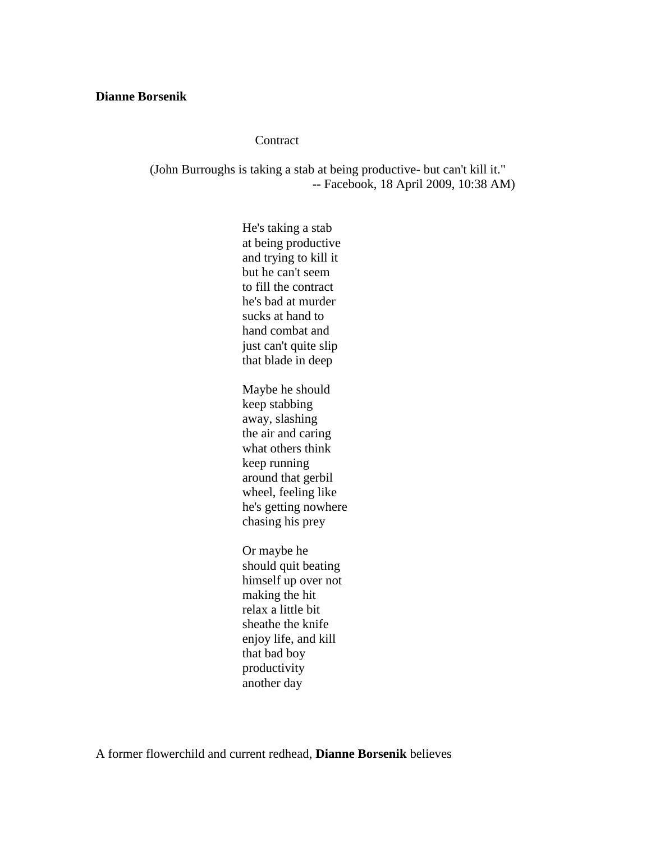## **Dianne Borsenik**

## **Contract**

(John Burroughs is taking a stab at being productive- but can't kill it."  **--** Facebook, 18 April 2009, 10:38 AM)

> He's taking a stab at being productive and trying to kill it but he can't seem to fill the contract he's bad at murder sucks at hand to hand combat and just can't quite slip that blade in deep Maybe he should keep stabbing away, slashing the air and caring what others think keep running around that gerbil wheel, feeling like he's getting nowhere chasing his prey Or maybe he should quit beating himself up over not making the hit relax a little bit sheathe the knife

enjoy life, and kill that bad boy productivity another day